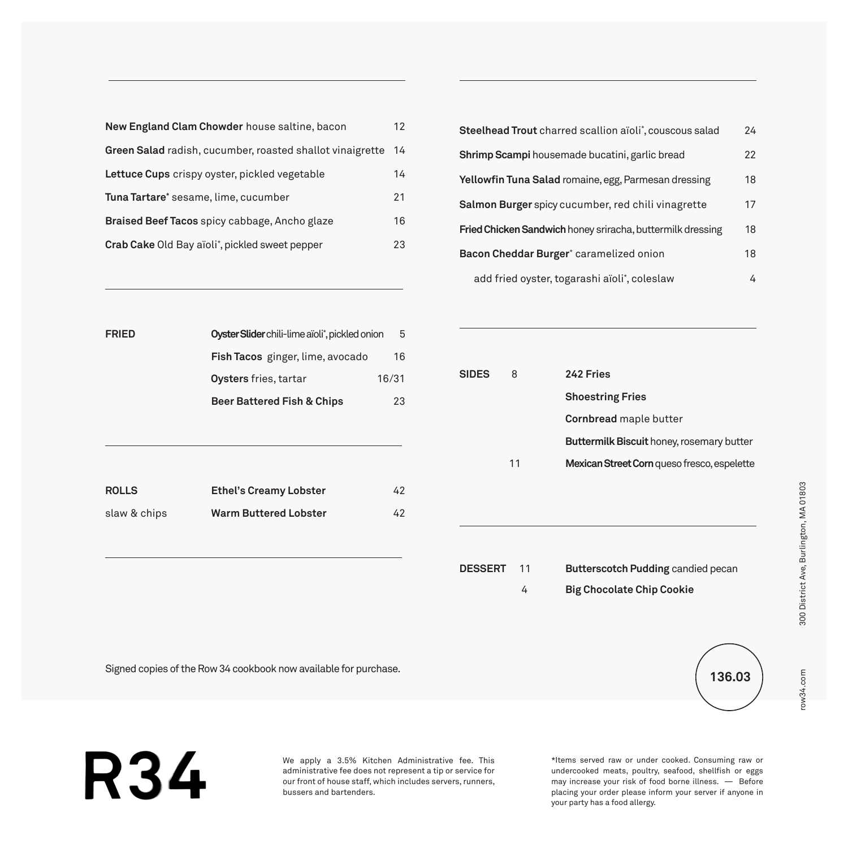| New England Clam Chowder house saltine, bacon               | 12 |
|-------------------------------------------------------------|----|
| Green Salad radish, cucumber, roasted shallot vinaigrette   | 14 |
| Lettuce Cups crispy oyster, pickled vegetable               | 14 |
| Tuna Tartare* sesame, lime, cucumber                        | 21 |
| Braised Beef Tacos spicy cabbage, Ancho glaze               | 16 |
| Crab Cake Old Bay aïoli <sup>*</sup> , pickled sweet pepper | 23 |

| <b>Steelhead Trout</b> charred scallion aïoli*, couscous salad | 24 |
|----------------------------------------------------------------|----|
| Shrimp Scampi housemade bucatini, garlic bread                 | 22 |
| Yellowfin Tuna Salad romaine, egg, Parmesan dressing           | 18 |
| Salmon Burger spicy cucumber, red chili vinagrette             | 17 |
| Fried Chicken Sandwich honey sriracha, buttermilk dressing     |    |
| Bacon Cheddar Burger <sup>*</sup> caramelized onion            | 18 |
| add fried oyster, togarashi aïoli*, coleslaw                   | 4  |

| Oyster Slider chili-lime aïoli*, pickled onion<br><b>FRIED</b> |                                  |       |
|----------------------------------------------------------------|----------------------------------|-------|
|                                                                | Fish Tacos ginger, lime, avocado | 16    |
|                                                                | <b>Oysters</b> fries, tartar     | 16/31 |
|                                                                | Beer Battered Fish & Chips       | 23    |
|                                                                |                                  |       |

| <b>ROLLS</b> | <b>Ethel's Creamy Lobster</b> | 42 |
|--------------|-------------------------------|----|
| slaw & chips | <b>Warm Buttered Lobster</b>  | 42 |

| <b>SIDES</b> | 8  | 242 Fries                                        |
|--------------|----|--------------------------------------------------|
|              |    | <b>Shoestring Fries</b>                          |
|              |    | Cornbread maple butter                           |
|              |    | <b>Buttermilk Biscuit honey, rosemary butter</b> |
|              | 11 | Mexican Street Corn queso fresco, espelette      |
|              |    |                                                  |

**DESSERT** 11 **Butterscotch Pudding** candied pecan

4 **Big Chocolate Chip Cookie**

row34.com

row34.com

Signed copies of the Row 34 cookbook now available for purchase.



**R34** 

We apply a 3.5% Kitchen Administrative fee. This administrative fee does not represent a tip or service for our front of house staff, which includes servers, runners, bussers and bartenders.

\*Items served raw or under cooked. Consuming raw or undercooked meats, poultry, seafood, shellfish or eggs may increase your risk of food borne illness. — Before placing your order please inform your server if anyone in your party has a food allergy.